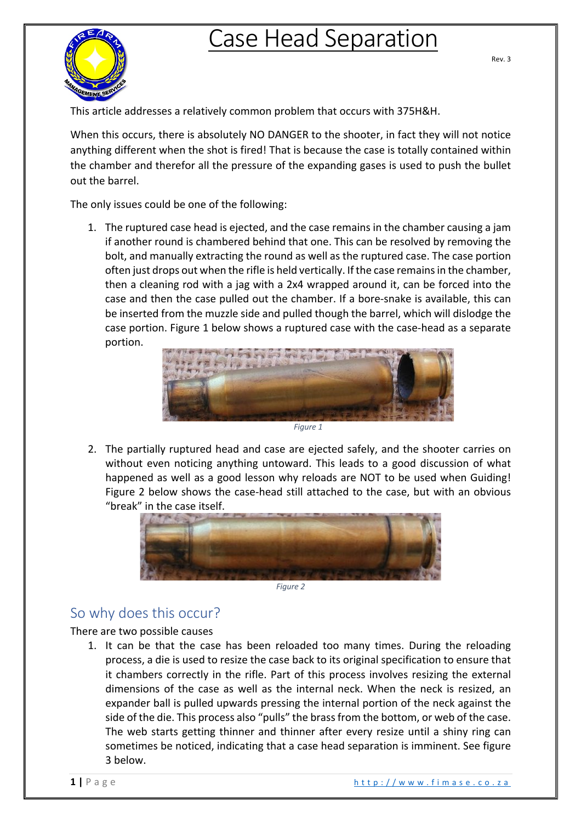## Case Head Separation



Rev. 3

This article addresses a relatively common problem that occurs with 375H&H.

When this occurs, there is absolutely NO DANGER to the shooter, in fact they will not notice anything different when the shot is fired! That is because the case is totally contained within the chamber and therefor all the pressure of the expanding gases is used to push the bullet out the barrel.

The only issues could be one of the following:

1. The ruptured case head is ejected, and the case remains in the chamber causing a jam if another round is chambered behind that one. This can be resolved by removing the bolt, and manually extracting the round as well as the ruptured case. The case portion often just drops out when the rifle is held vertically. If the case remainsin the chamber, then a cleaning rod with a jag with a 2x4 wrapped around it, can be forced into the case and then the case pulled out the chamber. If a bore-snake is available, this can be inserted from the muzzle side and pulled though the barrel, which will dislodge the case portion. Figure 1 below shows a ruptured case with the case-head as a separate portion.



2. The partially ruptured head and case are ejected safely, and the shooter carries on without even noticing anything untoward. This leads to a good discussion of what happened as well as a good lesson why reloads are NOT to be used when Guiding! Figure 2 below shows the case-head still attached to the case, but with an obvious "break" in the case itself.



*Figure 2*

## So why does this occur?

## There are two possible causes

1. It can be that the case has been reloaded too many times. During the reloading process, a die is used to resize the case back to its original specification to ensure that it chambers correctly in the rifle. Part of this process involves resizing the external dimensions of the case as well as the internal neck. When the neck is resized, an expander ball is pulled upwards pressing the internal portion of the neck against the side of the die. This process also "pulls" the brass from the bottom, or web of the case. The web starts getting thinner and thinner after every resize until a shiny ring can sometimes be noticed, indicating that a case head separation is imminent. See figure 3 below.